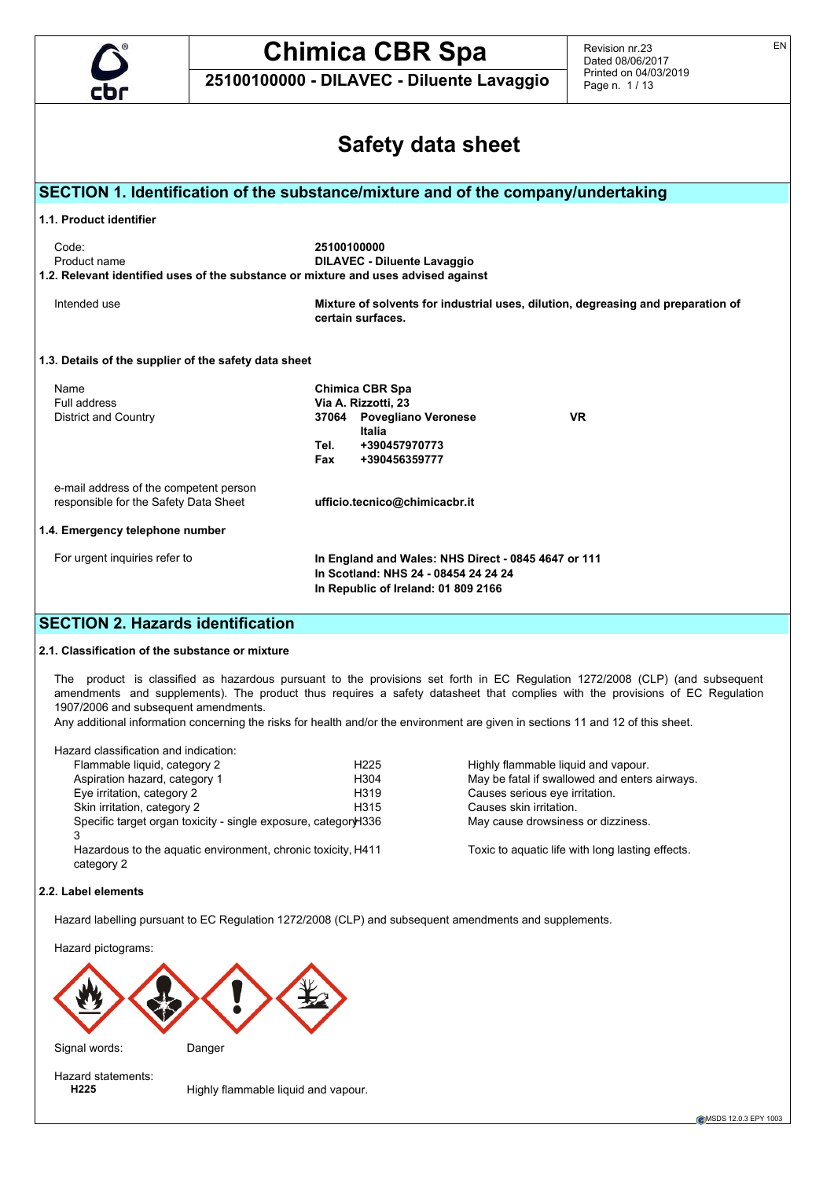

Revision nr.23 Dated 08/06/2017 Printed on 04/03/2019 Page n. 1 / 13

**25100100000 - DILAVEC - Diluente Lavaggio**

|                                                                                                             | Safety data sheet                                                                                                                  |
|-------------------------------------------------------------------------------------------------------------|------------------------------------------------------------------------------------------------------------------------------------|
|                                                                                                             | SECTION 1. Identification of the substance/mixture and of the company/undertaking                                                  |
| 1.1. Product identifier                                                                                     |                                                                                                                                    |
| Code:<br>Product name<br>1.2. Relevant identified uses of the substance or mixture and uses advised against | 25100100000<br><b>DILAVEC - Diluente Lavaggio</b>                                                                                  |
| Intended use                                                                                                | Mixture of solvents for industrial uses, dilution, degreasing and preparation of<br>certain surfaces.                              |
| 1.3. Details of the supplier of the safety data sheet                                                       |                                                                                                                                    |
| Name                                                                                                        | <b>Chimica CBR Spa</b>                                                                                                             |
| Full address<br>District and Country                                                                        | Via A. Rizzotti, 23<br>37064 Povegliano Veronese<br><b>VR</b><br>Italia<br>+390457970773<br>Tel.                                   |
|                                                                                                             | Fax<br>+390456359777                                                                                                               |
| e-mail address of the competent person<br>responsible for the Safety Data Sheet                             | ufficio.tecnico@chimicacbr.it                                                                                                      |
| 1.4. Emergency telephone number                                                                             |                                                                                                                                    |
| For urgent inquiries refer to                                                                               | In England and Wales: NHS Direct - 0845 4647 or 111<br>In Scotland: NHS 24 - 08454 24 24 24<br>In Republic of Ireland: 01 809 2166 |
| <b>SECTION 2. Hazards identification</b>                                                                    |                                                                                                                                    |
| 2.1. Classification of the substance or mixture                                                             |                                                                                                                                    |

The product is classified as hazardous pursuant to the provisions set forth in EC Regulation 1272/2008 (CLP) (and subsequent amendments and supplements). The product thus requires a safety datasheet that complies with the provisions of EC Regulation 1907/2006 and subsequent amendments.

Any additional information concerning the risks for health and/or the environment are given in sections 11 and 12 of this sheet.

Hazard classification and indication:

| Flammable liquid, category 2                                               | H225              | Highly flammable liquid and vapour.              |
|----------------------------------------------------------------------------|-------------------|--------------------------------------------------|
| Aspiration hazard, category 1                                              | H304              | May be fatal if swallowed and enters airways.    |
| Eye irritation, category 2                                                 | H <sub>3</sub> 19 | Causes serious eye irritation.                   |
| Skin irritation, category 2                                                | H315              | Causes skin irritation.                          |
| Specific target organ toxicity - single exposure, categor\H336<br>3        |                   | May cause drowsiness or dizziness.               |
| Hazardous to the aguatic environment, chronic toxicity, H411<br>category 2 |                   | Toxic to aguatic life with long lasting effects. |

#### **2.2. Label elements**

Hazard labelling pursuant to EC Regulation 1272/2008 (CLP) and subsequent amendments and supplements.

Hazard pictograms:





Hazard statements:<br>H225

Highly flammable liquid and vapour.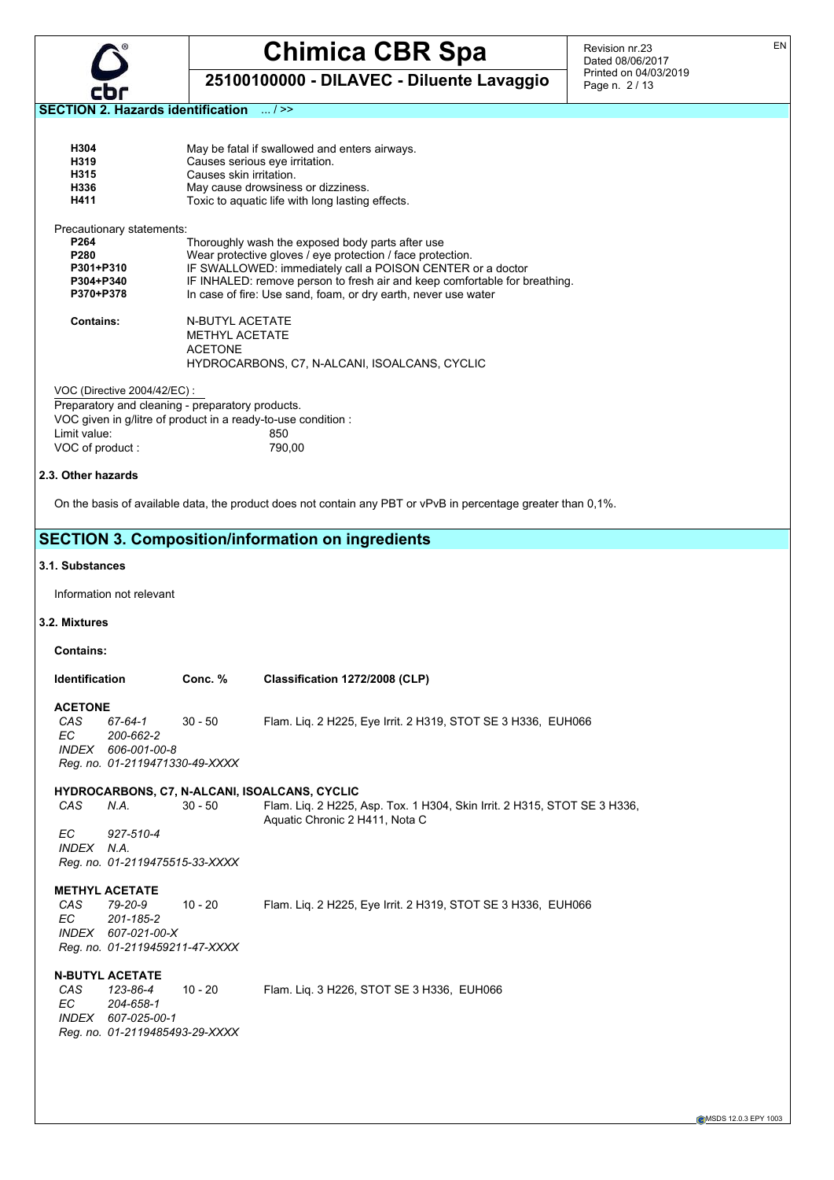

**25100100000 - DILAVEC - Diluente Lavaggio**

Revision nr.23 Dated 08/06/2017 Printed on 04/03/2019 Page n. 2 / 13

**SECTION 2. Hazards identification** ... / >>

| H304 | May be fatal if swallowed and enters airways.    |
|------|--------------------------------------------------|
| H319 | Causes serious eye irritation.                   |
| H315 | Causes skin irritation.                          |
| H336 | May cause drowsiness or dizziness.               |
| H411 | Toxic to aquatic life with long lasting effects. |

Precautionary statements:

| P <sub>264</sub> | Thoroughly wash the exposed body parts after use                           |
|------------------|----------------------------------------------------------------------------|
| P <sub>280</sub> | Wear protective gloves / eye protection / face protection.                 |
| P301+P310        | IF SWALLOWED: immediately call a POISON CENTER or a doctor                 |
| P304+P340        | IF INHALED: remove person to fresh air and keep comfortable for breathing. |
| P370+P378        | In case of fire: Use sand, foam, or dry earth, never use water             |
|                  |                                                                            |
|                  |                                                                            |

| <b>Contains:</b> | N-BUTYL ACETATE                               |
|------------------|-----------------------------------------------|
|                  | METHYL ACETATE                                |
|                  | <b>ACFTONE</b>                                |
|                  | HYDROCARBONS, C7, N-ALCANI, ISOALCANS, CYCLIC |

VOC (Directive 2004/42/EC) :

#### **2.3. Other hazards**

On the basis of available data, the product does not contain any PBT or vPvB in percentage greater than 0,1%.

#### **SECTION 3. Composition/information on ingredients**

#### **3.1. Substances**

Information not relevant

#### **3.2. Mixtures**

**Contains:**

| Identification | Conc. % | Classification 1272/2008 (CLP) |
|----------------|---------|--------------------------------|

**ACETONE**<br>CAS 67-64-1 *CAS 67-64-1* 30 - 50 Flam. Liq. 2 H225, Eye Irrit. 2 H319, STOT SE 3 H336, EUH066 *EC 200-662-2 INDEX 606-001-00-8 Reg. no. 01-2119471330-49-XXXX*

#### **HYDROCARBONS, C7, N-ALCANI, ISOALCANS, CYCLIC**

*CAS N.A.* 30 - 50 Flam. Liq. 2 H225, Asp. Tox. 1 H304, Skin Irrit. 2 H315, STOT SE 3 H336, Aquatic Chronic 2 H411, Nota C

*EC 927-510-4 INDEX N.A. Reg. no. 01-2119475515-33-XXXX*

**METHYL ACETATE**<br>CAS 79-20-9 *CAS 79-20-9* 10 - 20 Flam. Liq. 2 H225, Eye Irrit. 2 H319, STOT SE 3 H336, EUH066 *EC 201-185-2 INDEX 607-021-00-X Reg. no. 01-2119459211-47-XXXX*

#### **N-BUTYL ACETATE**

| CAS | 123-86-4                       | 10 - 20 | Flam. Lig. 3 H226, STOT SE 3 H336, EUH066 |  |  |
|-----|--------------------------------|---------|-------------------------------------------|--|--|
| EC. | 204-658-1                      |         |                                           |  |  |
|     | INDEX 607-025-00-1             |         |                                           |  |  |
|     | Reg. no. 01-2119485493-29-XXXX |         |                                           |  |  |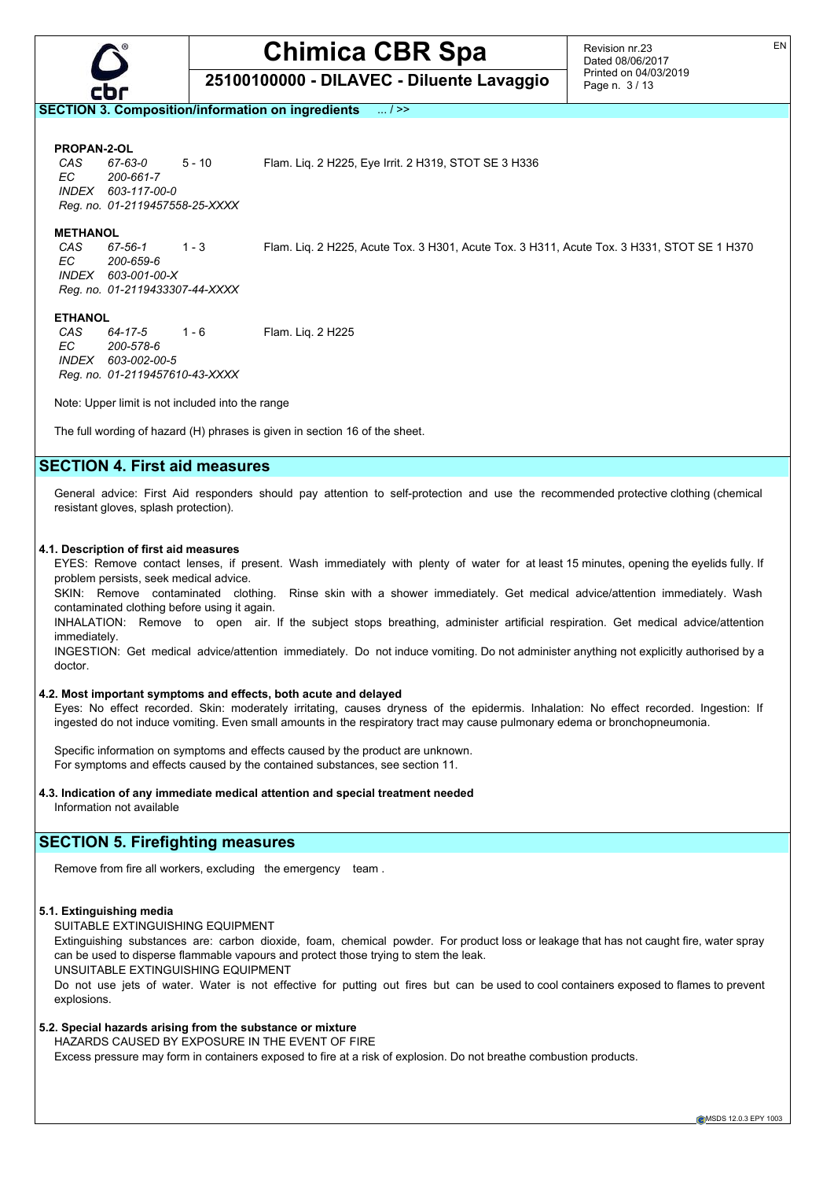

**25100100000 - DILAVEC - Diluente Lavaggio**

**SECTION 3. Composition/information on ingredients** ... / >>

**PROPAN-2-OL**

*CAS 67-63-0* 5 - 10 Flam. Liq. 2 H225, Eye Irrit. 2 H319, STOT SE 3 H336 *EC 200-661-7 INDEX 603-117-00-0 Reg. no. 01-2119457558-25-XXXX*

**METHANOL**<br>CAS 67-56-1 *EC 200-659-6 INDEX 603-001-00-X Reg. no. 01-2119433307-44-XXXX*

*CAS 67-56-1* 1 - 3 Flam. Liq. 2 H225, Acute Tox. 3 H301, Acute Tox. 3 H311, Acute Tox. 3 H331, STOT SE 1 H370

#### **ETHANOL**

*CAS 64-17-5* 1 - 6 Flam. Liq. 2 H225 *EC 200-578-6 INDEX 603-002-00-5 Reg. no. 01-2119457610-43-XXXX*

Note: Upper limit is not included into the range

The full wording of hazard (H) phrases is given in section 16 of the sheet.

#### **SECTION 4. First aid measures**

General advice: First Aid responders should pay attention to self-protection and use the recommended protective clothing (chemical resistant gloves, splash protection).

#### **4.1. Description of first aid measures**

EYES: Remove contact lenses, if present. Wash immediately with plenty of water for at least 15 minutes, opening the eyelids fully. If problem persists, seek medical advice.

SKIN: Remove contaminated clothing. Rinse skin with a shower immediately. Get medical advice/attention immediately. Wash contaminated clothing before using it again.

INHALATION: Remove to open air. If the subject stops breathing, administer artificial respiration. Get medical advice/attention immediately.

INGESTION: Get medical advice/attention immediately. Do not induce vomiting. Do not administer anything not explicitly authorised by a doctor.

#### **4.2. Most important symptoms and effects, both acute and delayed**

Eyes: No effect recorded. Skin: moderately irritating, causes dryness of the epidermis. Inhalation: No effect recorded. Ingestion: If ingested do not induce vomiting. Even small amounts in the respiratory tract may cause pulmonary edema or bronchopneumonia.

Specific information on symptoms and effects caused by the product are unknown. For symptoms and effects caused by the contained substances, see section 11.

**4.3. Indication of any immediate medical attention and special treatment needed** Information not available

#### **SECTION 5. Firefighting measures**

Remove from fire all workers, excluding the emergency team .

#### **5.1. Extinguishing media**

SUITABLE EXTINGUISHING EQUIPMENT

Extinguishing substances are: carbon dioxide, foam, chemical powder. For product loss or leakage that has not caught fire, water spray can be used to disperse flammable vapours and protect those trying to stem the leak.

UNSUITABLE EXTINGUISHING EQUIPMENT

Do not use jets of water. Water is not effective for putting out fires but can be used to cool containers exposed to flames to prevent explosions.

#### **5.2. Special hazards arising from the substance or mixture**

HAZARDS CAUSED BY EXPOSURE IN THE EVENT OF FIRE

Excess pressure may form in containers exposed to fire at a risk of explosion. Do not breathe combustion products.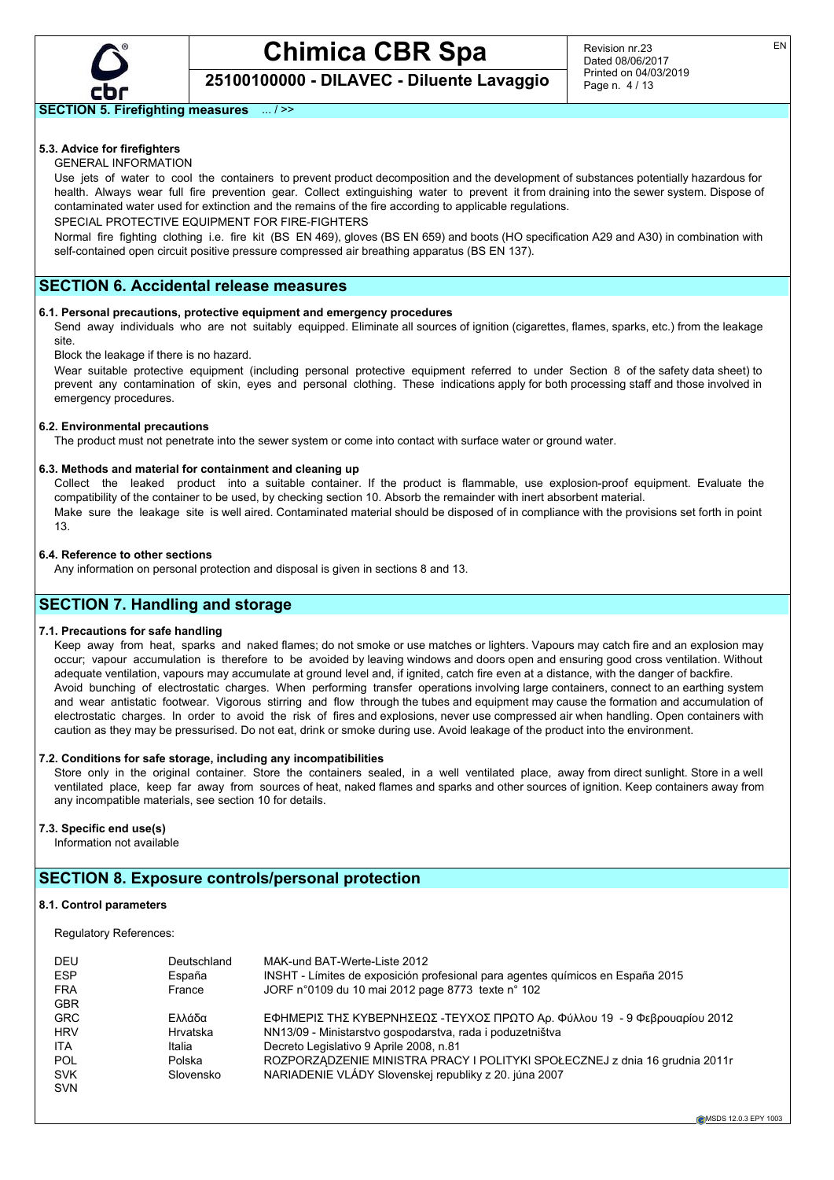

Revision nr.23 Dated 08/06/2017 Printed on 04/03/2019 Page n. 4 / 13

#### **SECTION 5. Firefighting measures** ... / >>

## **5.3. Advice for firefighters**

GENERAL INFORMATION

Use jets of water to cool the containers to prevent product decomposition and the development of substances potentially hazardous for health. Always wear full fire prevention gear. Collect extinguishing water to prevent it from draining into the sewer system. Dispose of contaminated water used for extinction and the remains of the fire according to applicable regulations.

SPECIAL PROTECTIVE EQUIPMENT FOR FIRE-FIGHTERS

Normal fire fighting clothing i.e. fire kit (BS EN 469), gloves (BS EN 659) and boots (HO specification A29 and A30) in combination with self-contained open circuit positive pressure compressed air breathing apparatus (BS EN 137).

#### **SECTION 6. Accidental release measures**

#### **6.1. Personal precautions, protective equipment and emergency procedures**

Send away individuals who are not suitably equipped. Eliminate all sources of ignition (cigarettes, flames, sparks, etc.) from the leakage site.

#### Block the leakage if there is no hazard.

Wear suitable protective equipment (including personal protective equipment referred to under Section 8 of the safety data sheet) to prevent any contamination of skin, eyes and personal clothing. These indications apply for both processing staff and those involved in emergency procedures.

#### **6.2. Environmental precautions**

The product must not penetrate into the sewer system or come into contact with surface water or ground water.

#### **6.3. Methods and material for containment and cleaning up**

Collect the leaked product into a suitable container. If the product is flammable, use explosion-proof equipment. Evaluate the compatibility of the container to be used, by checking section 10. Absorb the remainder with inert absorbent material. Make sure the leakage site is well aired. Contaminated material should be disposed of in compliance with the provisions set forth in point 13.

#### **6.4. Reference to other sections**

Any information on personal protection and disposal is given in sections 8 and 13.

#### **SECTION 7. Handling and storage**

#### **7.1. Precautions for safe handling**

Keep away from heat, sparks and naked flames; do not smoke or use matches or lighters. Vapours may catch fire and an explosion may occur; vapour accumulation is therefore to be avoided by leaving windows and doors open and ensuring good cross ventilation. Without adequate ventilation, vapours may accumulate at ground level and, if ignited, catch fire even at a distance, with the danger of backfire. Avoid bunching of electrostatic charges. When performing transfer operations involving large containers, connect to an earthing system and wear antistatic footwear. Vigorous stirring and flow through the tubes and equipment may cause the formation and accumulation of electrostatic charges. In order to avoid the risk of fires and explosions, never use compressed air when handling. Open containers with caution as they may be pressurised. Do not eat, drink or smoke during use. Avoid leakage of the product into the environment.

#### **7.2. Conditions for safe storage, including any incompatibilities**

Store only in the original container. Store the containers sealed, in a well ventilated place, away from direct sunlight. Store in a well ventilated place, keep far away from sources of heat, naked flames and sparks and other sources of ignition. Keep containers away from any incompatible materials, see section 10 for details.

#### **7.3. Specific end use(s)**

Information not available

## **SECTION 8. Exposure controls/personal protection**

#### **8.1. Control parameters**

Regulatory References:

| DEU<br><b>ESP</b><br><b>FRA</b><br><b>GBR</b> | Deutschland<br>España<br>France | MAK-und BAT-Werte-Liste 2012<br>INSHT - Límites de exposición profesional para agentes químicos en España 2015<br>JORF n°0109 du 10 mai 2012 page 8773 texte n° 102 |
|-----------------------------------------------|---------------------------------|---------------------------------------------------------------------------------------------------------------------------------------------------------------------|
| <b>GRC</b>                                    | Ελλάδα                          | ΕΦΗΜΕΡΙΣ ΤΗΣ ΚΥΒΕΡΝΗΣΕΩΣ -ΤΕΥΧΟΣ ΠΡΩΤΟ Αρ. Φύλλου 19 - 9 Φεβρουαρίου 2012                                                                                           |
| <b>HRV</b>                                    | Hrvatska                        | NN13/09 - Ministarstvo gospodarstva, rada i poduzetništva                                                                                                           |
| <b>ITA</b>                                    | Italia                          | Decreto Legislativo 9 Aprile 2008, n.81                                                                                                                             |
| <b>POL</b>                                    | Polska                          | ROZPORZĄDZENIE MINISTRA PRACY I POLITYKI SPOŁECZNEJ z dnia 16 grudnia 2011r                                                                                         |
| <b>SVK</b>                                    | Slovensko                       | NARIADENIE VLÁDY Slovenskej republiky z 20. júna 2007                                                                                                               |
| <b>SVN</b>                                    |                                 |                                                                                                                                                                     |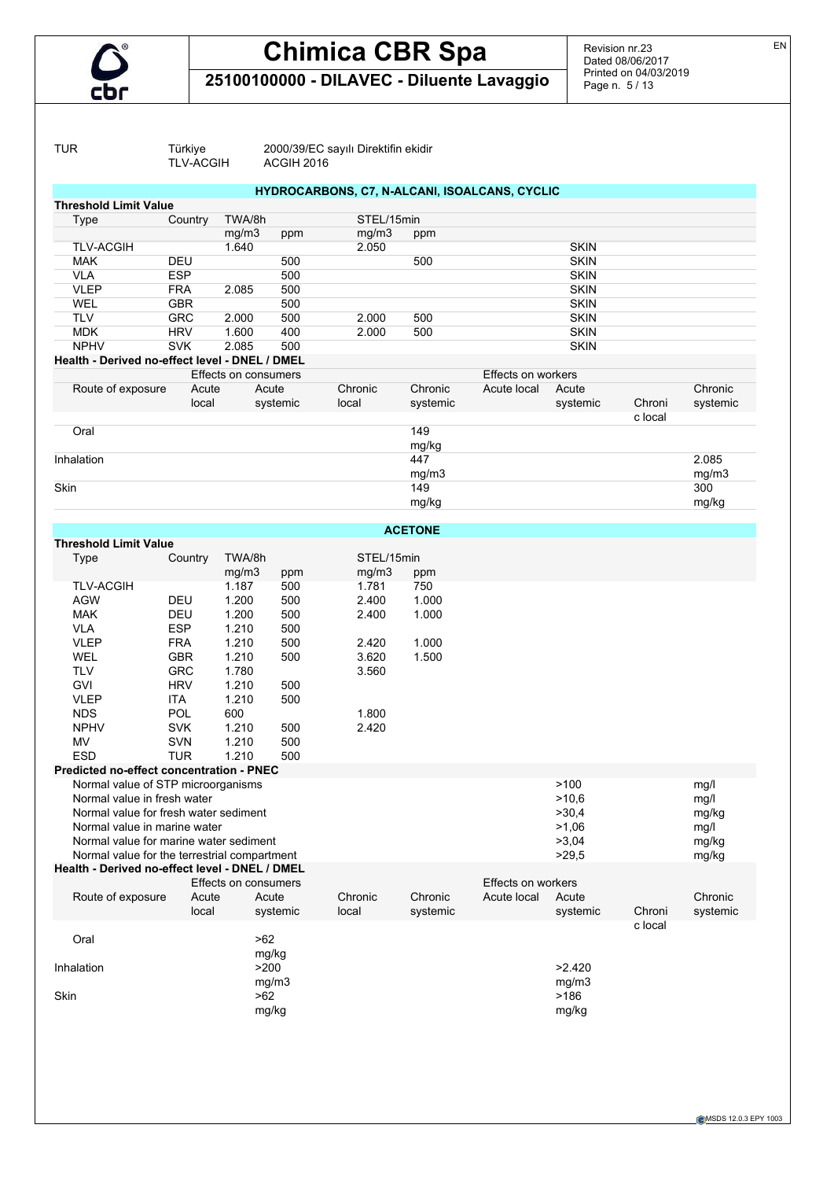

Revision nr.23 Dated 08/06/2017 Printed on 04/03/2019 Page n. 5 / 13

**25100100000 - DILAVEC - Diluente Lavaggio**

TLV-ACGIH

TUR Türkiye 2000/39/EC sayılı Direktifin ekidir

| <b>Threshold Limit Value</b>                   |            | HYDROCARBONS, C7, N-ALCANI, ISOALCANS, CYCLIC |          |            |                |                    |             |                   |          |
|------------------------------------------------|------------|-----------------------------------------------|----------|------------|----------------|--------------------|-------------|-------------------|----------|
| Type                                           | Country    | TWA/8h                                        |          | STEL/15min |                |                    |             |                   |          |
|                                                |            | mg/m3                                         | ppm      | mg/m3      | ppm            |                    |             |                   |          |
| <b>TLV-ACGIH</b>                               |            | 1.640                                         |          | 2.050      |                |                    | <b>SKIN</b> |                   |          |
| <b>MAK</b>                                     | DEU        |                                               | 500      |            | 500            |                    | <b>SKIN</b> |                   |          |
| <b>VLA</b>                                     | <b>ESP</b> |                                               | 500      |            |                |                    | <b>SKIN</b> |                   |          |
| <b>VLEP</b>                                    | <b>FRA</b> | 2.085                                         | 500      |            |                |                    | <b>SKIN</b> |                   |          |
| WEL                                            | <b>GBR</b> |                                               | 500      |            |                |                    | <b>SKIN</b> |                   |          |
| <b>TLV</b>                                     | <b>GRC</b> | 2.000                                         | 500      | 2.000      | 500            |                    | <b>SKIN</b> |                   |          |
| <b>MDK</b>                                     | <b>HRV</b> | 1.600                                         | 400      | 2.000      | 500            |                    | <b>SKIN</b> |                   |          |
| <b>NPHV</b>                                    | <b>SVK</b> | 2.085                                         | 500      |            |                |                    | <b>SKIN</b> |                   |          |
| Health - Derived no-effect level - DNEL / DMEL |            |                                               |          |            |                |                    |             |                   |          |
|                                                |            | Effects on consumers                          |          |            |                | Effects on workers |             |                   |          |
| Route of exposure                              | Acute      | Acute                                         |          | Chronic    | Chronic        | Acute local        | Acute       |                   | Chronic  |
|                                                | local      |                                               | systemic | local      | systemic       |                    | systemic    | Chroni<br>c local | systemic |
| Oral                                           |            |                                               |          |            | 149            |                    |             |                   |          |
|                                                |            |                                               |          |            | mg/kg<br>447   |                    |             |                   | 2.085    |
| Inhalation                                     |            |                                               |          |            |                |                    |             |                   |          |
|                                                |            |                                               |          |            | mg/m3          |                    |             |                   | mg/m3    |
| Skin                                           |            |                                               |          |            | 149            |                    |             |                   | 300      |
|                                                |            |                                               |          |            | mg/kg          |                    |             |                   | mg/kg    |
|                                                |            |                                               |          |            | <b>ACETONE</b> |                    |             |                   |          |
| <b>Threshold Limit Value</b>                   |            |                                               |          |            |                |                    |             |                   |          |
| <b>Type</b>                                    | Country    | TWA/8h                                        |          | STEL/15min |                |                    |             |                   |          |
|                                                |            | mg/m3                                         | ppm      | mq/m3      | ppm            |                    |             |                   |          |
| <b>TLV-ACGIH</b>                               |            | 1.187                                         | 500      | 1.781      | 750            |                    |             |                   |          |
| <b>AGW</b>                                     | DEU        | 1.200                                         | 500      | 2.400      | 1.000          |                    |             |                   |          |
| <b>MAK</b>                                     | DEU        | 1.200                                         | 500      | 2.400      | 1.000          |                    |             |                   |          |
| <b>VLA</b>                                     | <b>ESP</b> | 1.210                                         | 500      |            |                |                    |             |                   |          |
| <b>VLEP</b>                                    | <b>FRA</b> | 1.210                                         | 500      | 2.420      | 1.000          |                    |             |                   |          |
| <b>WEL</b>                                     | <b>GBR</b> | 1.210                                         | 500      | 3.620      | 1.500          |                    |             |                   |          |
| <b>TLV</b>                                     | <b>GRC</b> | 1.780                                         |          | 3.560      |                |                    |             |                   |          |
| GVI                                            | <b>HRV</b> | 1.210                                         | 500      |            |                |                    |             |                   |          |
| <b>VLEP</b>                                    | <b>ITA</b> | 1.210                                         | 500      |            |                |                    |             |                   |          |
| <b>NDS</b>                                     | POL        | 600                                           |          | 1.800      |                |                    |             |                   |          |
| <b>NPHV</b>                                    | <b>SVK</b> | 1.210                                         | 500      | 2.420      |                |                    |             |                   |          |
| <b>MV</b>                                      | SVN        | 1.210                                         | 500      |            |                |                    |             |                   |          |
| <b>ESD</b>                                     | <b>TUR</b> | 1.210                                         | 500      |            |                |                    |             |                   |          |
| Predicted no-effect concentration - PNEC       |            |                                               |          |            |                |                    |             |                   |          |
| Normal value of STP microorganisms             |            |                                               |          |            |                |                    | >100        |                   | mg/l     |
| Normal value in fresh water                    |            |                                               |          |            |                |                    | >10,6       |                   | mg/l     |
| Normal value for fresh water sediment          |            |                                               |          |            |                |                    | >30.4       |                   | mg/kg    |
| Normal value in marine water                   |            |                                               |          |            |                |                    | >1,06       |                   | mg/l     |
| Normal value for marine water sediment         |            |                                               |          |            |                |                    | >3,04       |                   | mg/kg    |
| Normal value for the terrestrial compartment   |            |                                               |          |            |                |                    | >29,5       |                   | mg/kg    |
| Health - Derived no-effect level - DNEL / DMEL |            |                                               |          |            |                |                    |             |                   |          |
|                                                |            | Effects on consumers                          |          |            |                | Effects on workers |             |                   |          |
| Route of exposure                              | Acute      | Acute                                         |          | Chronic    | Chronic        | Acute local        | Acute       |                   | Chronic  |
|                                                | local      |                                               | systemic | local      | systemic       |                    | systemic    | Chroni            | systemic |
|                                                |            |                                               |          |            |                |                    |             | c local           |          |
| Oral                                           |            | >62                                           |          |            |                |                    |             |                   |          |
|                                                |            | mg/kg                                         |          |            |                |                    |             |                   |          |
| Inhalation                                     |            | >200                                          |          |            |                |                    | >2.420      |                   |          |
|                                                |            | mg/m3                                         |          |            |                |                    | mg/m3       |                   |          |
|                                                |            | $>62$                                         |          |            |                |                    | >186        |                   |          |
|                                                |            |                                               |          |            |                |                    |             |                   |          |
| Skin                                           |            | mg/kg                                         |          |            |                |                    | mg/kg       |                   |          |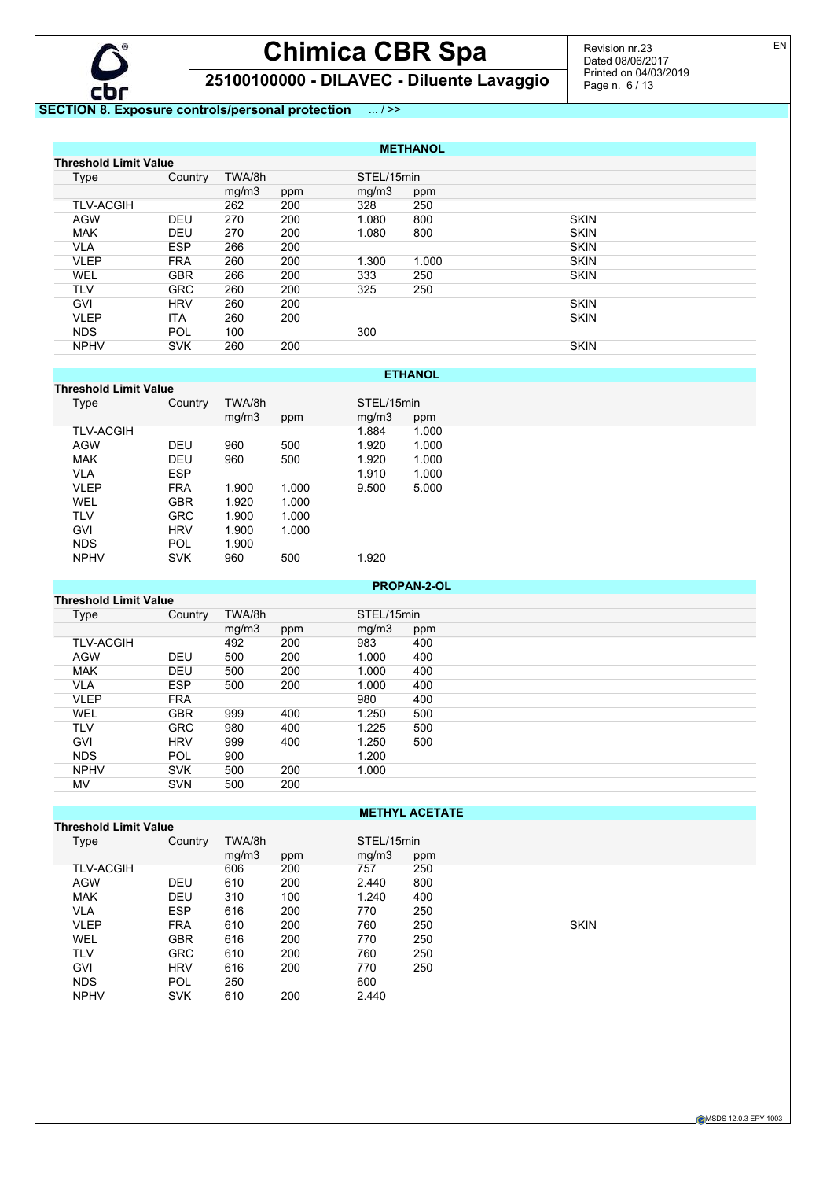

# **Chimica CBR Spa**

**25100100000 - DILAVEC - Diluente Lavaggio**

Revision nr.23 Dated 08/06/2017 Printed on 04/03/2019 Page n. 6 / 13

#### **SECTION 8. Exposure controls/personal protection** ... / >>

|                              | <b>METHANOL</b>  |            |        |     |            |       |             |  |  |  |
|------------------------------|------------------|------------|--------|-----|------------|-------|-------------|--|--|--|
| <b>Threshold Limit Value</b> |                  |            |        |     |            |       |             |  |  |  |
|                              | <b>Type</b>      | Country    | TWA/8h |     | STEL/15min |       |             |  |  |  |
|                              |                  |            | mg/m3  | ppm | mq/m3      | ppm   |             |  |  |  |
|                              | <b>TLV-ACGIH</b> |            | 262    | 200 | 328        | 250   |             |  |  |  |
|                              | <b>AGW</b>       | <b>DEU</b> | 270    | 200 | 1.080      | 800   | <b>SKIN</b> |  |  |  |
|                              | <b>MAK</b>       | <b>DEU</b> | 270    | 200 | 1.080      | 800   | <b>SKIN</b> |  |  |  |
|                              | <b>VLA</b>       | <b>ESP</b> | 266    | 200 |            |       | <b>SKIN</b> |  |  |  |
|                              | <b>VLEP</b>      | <b>FRA</b> | 260    | 200 | 1.300      | 1.000 | <b>SKIN</b> |  |  |  |
|                              | <b>WEL</b>       | <b>GBR</b> | 266    | 200 | 333        | 250   | <b>SKIN</b> |  |  |  |
|                              | <b>TLV</b>       | <b>GRC</b> | 260    | 200 | 325        | 250   |             |  |  |  |
|                              | <b>GVI</b>       | <b>HRV</b> | 260    | 200 |            |       | <b>SKIN</b> |  |  |  |
|                              | <b>VLEP</b>      | <b>ITA</b> | 260    | 200 |            |       | <b>SKIN</b> |  |  |  |
|                              | <b>NDS</b>       | <b>POL</b> | 100    |     | 300        |       |             |  |  |  |
|                              | <b>NPHV</b>      | <b>SVK</b> | 260    | 200 |            |       | <b>SKIN</b> |  |  |  |

**ETHANOL**

| Threshold Limit Value |            |        |       |            |       |
|-----------------------|------------|--------|-------|------------|-------|
| Type                  | Country    | TWA/8h |       | STEL/15min |       |
|                       |            | mq/m3  | ppm   | mg/m3      | ppm   |
| <b>TLV-ACGIH</b>      |            |        |       | 1.884      | 1.000 |
| <b>AGW</b>            | <b>DEU</b> | 960    | 500   | 1.920      | 1.000 |
| <b>MAK</b>            | <b>DEU</b> | 960    | 500   | 1.920      | 1.000 |
| VLA                   | <b>ESP</b> |        |       | 1.910      | 1.000 |
| <b>VLEP</b>           | <b>FRA</b> | 1.900  | 1.000 | 9.500      | 5.000 |
| WEL                   | GBR        | 1.920  | 1.000 |            |       |
| TLV                   | <b>GRC</b> | 1.900  | 1.000 |            |       |
| GVI                   | <b>HRV</b> | 1.900  | 1.000 |            |       |
| <b>NDS</b>            | <b>POL</b> | 1.900  |       |            |       |
| <b>NPHV</b>           | <b>SVK</b> | 960    | 500   | 1.920      |       |
|                       |            |        |       |            |       |

# ppm<br>1.000

| <b>PROPAN-2-OL</b>           |            |        |     |            |     |
|------------------------------|------------|--------|-----|------------|-----|
| <b>Threshold Limit Value</b> |            |        |     |            |     |
| Type                         | Country    | TWA/8h |     | STEL/15min |     |
|                              |            | mg/m3  | ppm | mg/m3      | ppm |
| <b>TLV-ACGIH</b>             |            | 492    | 200 | 983        | 400 |
| <b>AGW</b>                   | <b>DEU</b> | 500    | 200 | 1.000      | 400 |
| <b>MAK</b>                   | <b>DEU</b> | 500    | 200 | 1.000      | 400 |
| <b>VLA</b>                   | <b>ESP</b> | 500    | 200 | 1.000      | 400 |
| <b>VLEP</b>                  | <b>FRA</b> |        |     | 980        | 400 |
| <b>WEL</b>                   | <b>GBR</b> | 999    | 400 | 1.250      | 500 |
| <b>TLV</b>                   | <b>GRC</b> | 980    | 400 | 1.225      | 500 |
| <b>GVI</b>                   | <b>HRV</b> | 999    | 400 | 1.250      | 500 |
| <b>NDS</b>                   | <b>POL</b> | 900    |     | 1.200      |     |
| <b>NPHV</b>                  | <b>SVK</b> | 500    | 200 | 1.000      |     |
| MV                           | <b>SVN</b> | 500    | 200 |            |     |

| <b>METHYL ACETATE</b> |            |                 |     |                     |     |             |  |
|-----------------------|------------|-----------------|-----|---------------------|-----|-------------|--|
| Threshold Limit Value |            |                 |     |                     |     |             |  |
| Type                  | Country    | TWA/8h<br>mg/m3 | ppm | STEL/15min<br>mq/m3 | ppm |             |  |
| <b>TLV-ACGIH</b>      |            | 606             | 200 | 757                 | 250 |             |  |
| <b>AGW</b>            | <b>DEU</b> | 610             | 200 | 2.440               | 800 |             |  |
| <b>MAK</b>            | <b>DEU</b> | 310             | 100 | 1.240               | 400 |             |  |
| <b>VLA</b>            | <b>ESP</b> | 616             | 200 | 770                 | 250 |             |  |
| <b>VLEP</b>           | <b>FRA</b> | 610             | 200 | 760                 | 250 | <b>SKIN</b> |  |
| <b>WEL</b>            | <b>GBR</b> | 616             | 200 | 770                 | 250 |             |  |
| <b>TLV</b>            | <b>GRC</b> | 610             | 200 | 760                 | 250 |             |  |
| <b>GVI</b>            | <b>HRV</b> | 616             | 200 | 770                 | 250 |             |  |
| <b>NDS</b>            | <b>POL</b> | 250             |     | 600                 |     |             |  |
| <b>NPHV</b>           | <b>SVK</b> | 610             | 200 | 2.440               |     |             |  |

EN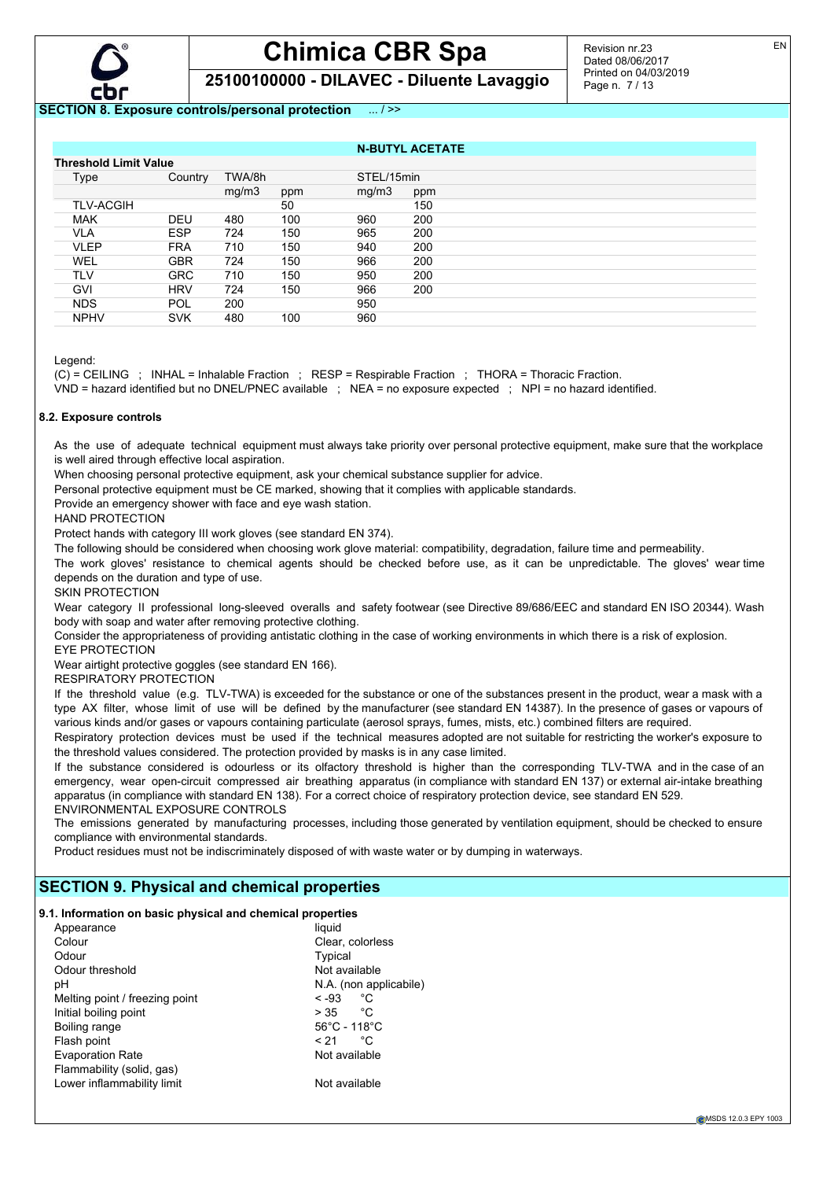

**25100100000 - DILAVEC - Diluente Lavaggio**

#### **SECTION 8. Exposure controls/personal protection** ... / >>

NDS POL 200 950 NPHV SVK 480 100 960

|                       |            |        |     |            | ----------------- |  |
|-----------------------|------------|--------|-----|------------|-------------------|--|
| Threshold Limit Value |            |        |     |            |                   |  |
| Type                  | Country    | TWA/8h |     | STEL/15min |                   |  |
|                       |            | mg/m3  | ppm | mq/m3      | ppm               |  |
| <b>TLV-ACGIH</b>      |            |        | 50  |            | 150               |  |
| <b>MAK</b>            | DEU        | 480    | 100 | 960        | 200               |  |
| VLA                   | <b>ESP</b> | 724    | 150 | 965        | 200               |  |
| VLEP                  | <b>FRA</b> | 710    | 150 | 940        | 200               |  |
| WEL                   | GBR        | 724    | 150 | 966        | 200               |  |
| TLV                   | <b>GRC</b> | 710    | 150 | 950        | 200               |  |
| GVI                   | <b>HRV</b> | 724    | 150 | 966        | 200               |  |

**N-BUTYL ACETATE**

Legend:

(C) = CEILING ; INHAL = Inhalable Fraction ; RESP = Respirable Fraction ; THORA = Thoracic Fraction.

VND = hazard identified but no DNEL/PNEC available ; NEA = no exposure expected ; NPI = no hazard identified.

#### **8.2. Exposure controls**

As the use of adequate technical equipment must always take priority over personal protective equipment, make sure that the workplace is well aired through effective local aspiration.

When choosing personal protective equipment, ask your chemical substance supplier for advice.

Personal protective equipment must be CE marked, showing that it complies with applicable standards.

Provide an emergency shower with face and eye wash station.

HAND PROTECTION

Protect hands with category III work gloves (see standard EN 374).

The following should be considered when choosing work glove material: compatibility, degradation, failure time and permeability.

The work gloves' resistance to chemical agents should be checked before use, as it can be unpredictable. The gloves' wear time depends on the duration and type of use.

SKIN PROTECTION

Wear category II professional long-sleeved overalls and safety footwear (see Directive 89/686/EEC and standard EN ISO 20344). Wash body with soap and water after removing protective clothing.

Consider the appropriateness of providing antistatic clothing in the case of working environments in which there is a risk of explosion.

EYE PROTECTION

Wear airtight protective goggles (see standard EN 166).

#### RESPIRATORY PROTECTION

If the threshold value (e.g. TLV-TWA) is exceeded for the substance or one of the substances present in the product, wear a mask with a type AX filter, whose limit of use will be defined by the manufacturer (see standard EN 14387). In the presence of gases or vapours of various kinds and/or gases or vapours containing particulate (aerosol sprays, fumes, mists, etc.) combined filters are required.

Respiratory protection devices must be used if the technical measures adopted are not suitable for restricting the worker's exposure to the threshold values considered. The protection provided by masks is in any case limited.

If the substance considered is odourless or its olfactory threshold is higher than the corresponding TLV-TWA and in the case of an emergency, wear open-circuit compressed air breathing apparatus (in compliance with standard EN 137) or external air-intake breathing apparatus (in compliance with standard EN 138). For a correct choice of respiratory protection device, see standard EN 529. ENVIRONMENTAL EXPOSURE CONTROLS

The emissions generated by manufacturing processes, including those generated by ventilation equipment, should be checked to ensure compliance with environmental standards.

Product residues must not be indiscriminately disposed of with waste water or by dumping in waterways.

#### **SECTION 9. Physical and chemical properties**

#### **9.1. Information on basic physical and chemical properties**

| Appearance                     | liquid                            |
|--------------------------------|-----------------------------------|
| Colour                         | Clear, colorless                  |
| Odour                          | Typical                           |
| Odour threshold                | Not available                     |
| рH                             | N.A. (non applicabile)            |
| Melting point / freezing point | °C<br>$< -93$                     |
| Initial boiling point          | °C<br>> 35                        |
| Boiling range                  | $56^{\circ}$ C - 118 $^{\circ}$ C |
| Flash point                    | °C<br>< 21                        |
| <b>Evaporation Rate</b>        | Not available                     |
| Flammability (solid, gas)      |                                   |
| Lower inflammability limit     | Not available                     |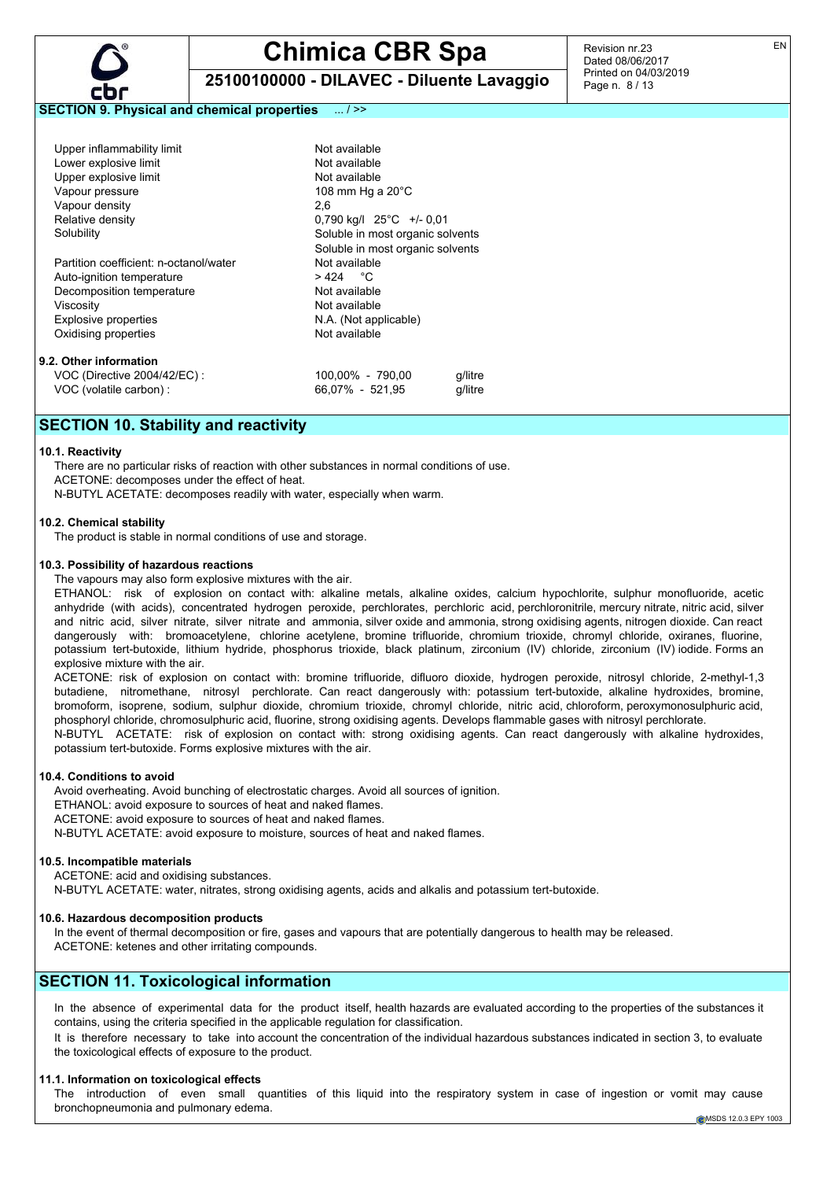

**25100100000 - DILAVEC - Diluente Lavaggio**

Revision nr.23 Dated 08/06/2017 Printed on 04/03/2019 Page n. 8 / 13

#### **SECTION 9. Physical and chemical properties** ... / >>

| Upper inflammability limit             | Not available                        |         |  |
|----------------------------------------|--------------------------------------|---------|--|
| Lower explosive limit                  | Not available                        |         |  |
| Upper explosive limit                  | Not available                        |         |  |
| Vapour pressure                        | 108 mm Hg a $20^{\circ}$ C           |         |  |
| Vapour density                         | 2.6                                  |         |  |
| Relative density                       | $0.790$ kg/l $25^{\circ}$ C +/- 0.01 |         |  |
| Solubility                             | Soluble in most organic solvents     |         |  |
|                                        | Soluble in most organic solvents     |         |  |
| Partition coefficient: n-octanol/water | Not available                        |         |  |
| Auto-ignition temperature              | > 424 °C                             |         |  |
| Decomposition temperature              | Not available                        |         |  |
| Viscositv                              | Not available                        |         |  |
| Explosive properties                   | N.A. (Not applicable)                |         |  |
| Oxidising properties                   | Not available                        |         |  |
| 9.2. Other information                 |                                      |         |  |
| VOC (Directive 2004/42/EC) :           | 100,00% - 790,00                     | q/litre |  |
| VOC (volatile carbon) :                | 66.07% - 521.95                      | a/litre |  |

### **SECTION 10. Stability and reactivity**

#### **10.1. Reactivity**

There are no particular risks of reaction with other substances in normal conditions of use. ACETONE: decomposes under the effect of heat. N-BUTYL ACETATE: decomposes readily with water, especially when warm.

#### **10.2. Chemical stability**

The product is stable in normal conditions of use and storage.

#### **10.3. Possibility of hazardous reactions**

The vapours may also form explosive mixtures with the air.

ETHANOL: risk of explosion on contact with: alkaline metals, alkaline oxides, calcium hypochlorite, sulphur monofluoride, acetic anhydride (with acids), concentrated hydrogen peroxide, perchlorates, perchloric acid, perchloronitrile, mercury nitrate, nitric acid, silver and nitric acid, silver nitrate, silver nitrate and ammonia, silver oxide and ammonia, strong oxidising agents, nitrogen dioxide. Can react dangerously with: bromoacetylene, chlorine acetylene, bromine trifluoride, chromium trioxide, chromyl chloride, oxiranes, fluorine, potassium tert-butoxide, lithium hydride, phosphorus trioxide, black platinum, zirconium (IV) chloride, zirconium (IV) iodide. Forms an explosive mixture with the air.

ACETONE: risk of explosion on contact with: bromine trifluoride, difluoro dioxide, hydrogen peroxide, nitrosyl chloride, 2-methyl-1,3 butadiene, nitromethane, nitrosyl perchlorate. Can react dangerously with: potassium tert-butoxide, alkaline hydroxides, bromine, bromoform, isoprene, sodium, sulphur dioxide, chromium trioxide, chromyl chloride, nitric acid, chloroform, peroxymonosulphuric acid, phosphoryl chloride, chromosulphuric acid, fluorine, strong oxidising agents. Develops flammable gases with nitrosyl perchlorate.

N-BUTYL ACETATE: risk of explosion on contact with: strong oxidising agents. Can react dangerously with alkaline hydroxides, potassium tert-butoxide. Forms explosive mixtures with the air.

#### **10.4. Conditions to avoid**

Avoid overheating. Avoid bunching of electrostatic charges. Avoid all sources of ignition. ETHANOL: avoid exposure to sources of heat and naked flames. ACETONE: avoid exposure to sources of heat and naked flames. N-BUTYL ACETATE: avoid exposure to moisture, sources of heat and naked flames.

#### **10.5. Incompatible materials**

ACETONE: acid and oxidising substances.

N-BUTYL ACETATE: water, nitrates, strong oxidising agents, acids and alkalis and potassium tert-butoxide.

#### **10.6. Hazardous decomposition products**

In the event of thermal decomposition or fire, gases and vapours that are potentially dangerous to health may be released. ACETONE: ketenes and other irritating compounds.

#### **SECTION 11. Toxicological information**

In the absence of experimental data for the product itself, health hazards are evaluated according to the properties of the substances it contains, using the criteria specified in the applicable regulation for classification.

It is therefore necessary to take into account the concentration of the individual hazardous substances indicated in section 3, to evaluate the toxicological effects of exposure to the product.

#### **11.1. Information on toxicological effects**

The introduction of even small quantities of this liquid into the respiratory system in case of ingestion or vomit may cause bronchopneumonia and pulmonary edema.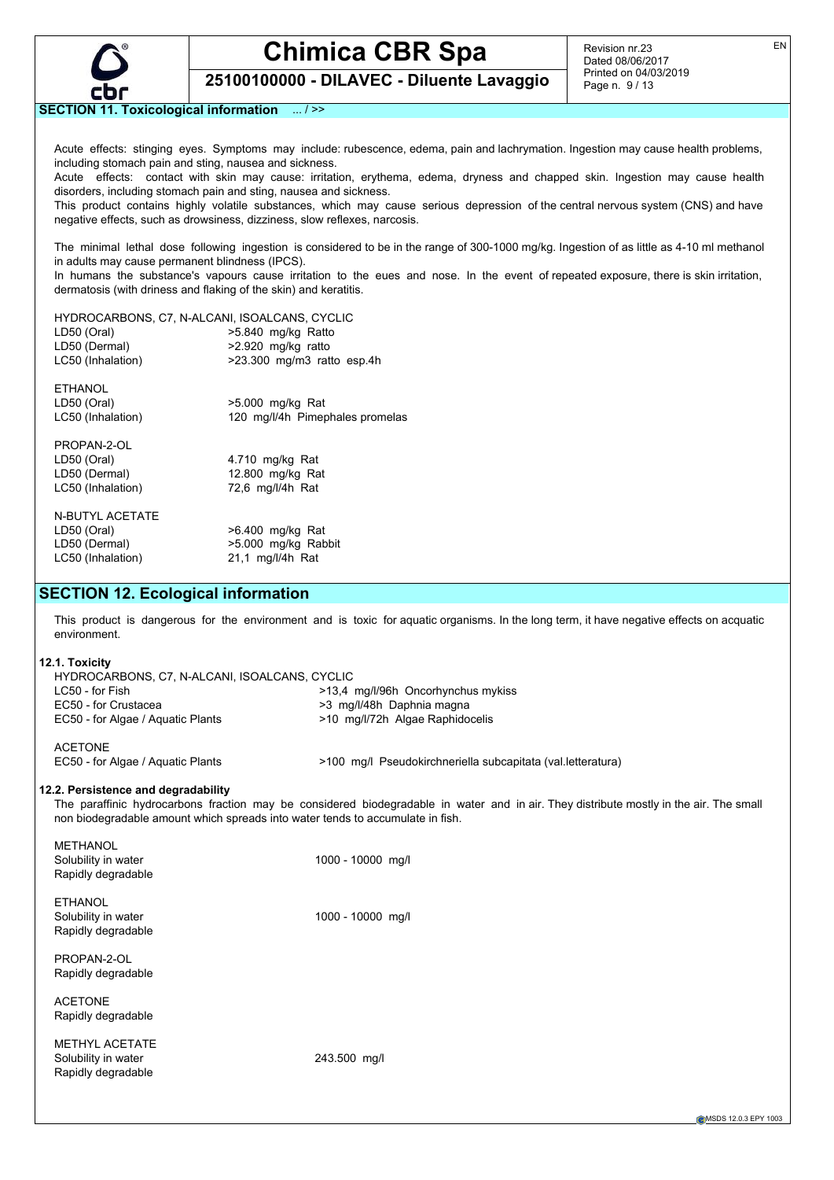

Revision nr.23 Dated 08/06/2017 Printed on 04/03/2019 Page n. 9 / 13

**25100100000 - DILAVEC - Diluente Lavaggio**

#### **SECTION 11. Toxicological information** ... / >>

Acute effects: stinging eyes. Symptoms may include: rubescence, edema, pain and lachrymation. Ingestion may cause health problems, including stomach pain and sting, nausea and sickness.

Acute effects: contact with skin may cause: irritation, erythema, edema, dryness and chapped skin. Ingestion may cause health disorders, including stomach pain and sting, nausea and sickness.

This product contains highly volatile substances, which may cause serious depression of the central nervous system (CNS) and have negative effects, such as drowsiness, dizziness, slow reflexes, narcosis.

The minimal lethal dose following ingestion is considered to be in the range of 300-1000 mg/kg. Ingestion of as little as 4-10 ml methanol in adults may cause permanent blindness (IPCS).

In humans the substance's vapours cause irritation to the eues and nose. In the event of repeated exposure, there is skin irritation, dermatosis (with driness and flaking of the skin) and keratitis.

| HYDROCARBONS, C7, N-ALCANI, ISOALCANS, CYCLIC |                                 |
|-----------------------------------------------|---------------------------------|
| LD50 (Oral)                                   | >5.840 mg/kg Ratto              |
| LD50 (Dermal)                                 | >2.920 mg/kg ratto              |
| LC50 (Inhalation)                             | $>23.300$ mg/m3 ratto esp.4h    |
| <b>ETHANOL</b>                                |                                 |
| LD50 (Oral)                                   | $>5.000$ mg/kg Rat              |
| LC50 (Inhalation)                             | 120 mg/l/4h Pimephales promelas |
|                                               |                                 |
| PROPAN-2-OL                                   |                                 |
| LD50 (Oral)                                   | 4.710 mg/kg Rat                 |
| LD50 (Dermal)                                 | 12.800 mg/kg Rat                |
| LC50 (Inhalation)                             | 72,6 mg/l/4h Rat                |
|                                               |                                 |
| <b>N-BUTYL ACETATE</b>                        |                                 |
| LD50 (Oral)                                   | >6.400 mg/kg Rat                |
| LD50 (Dermal)                                 | >5.000 mg/kg Rabbit             |
| LC50 (Inhalation)                             | 21,1 mg/l/4h Rat                |
|                                               |                                 |
|                                               |                                 |

### **SECTION 12. Ecological information**

This product is dangerous for the environment and is toxic for aquatic organisms. In the long term, it have negative effects on acquatic environment.

#### **12.1. Toxicity**

**METHANOL** 

| HYDROCARBONS, C7, N-ALCANI, ISOALCANS, CYCLIC       |                                                              |
|-----------------------------------------------------|--------------------------------------------------------------|
| LC50 - for Fish                                     | >13.4 mg/l/96h Oncorhynchus mykiss                           |
| EC50 - for Crustacea                                | >3 mg/l/48h Daphnia magna                                    |
| EC50 - for Algae / Aguatic Plants                   | >10 mg/l/72h Algae Raphidocelis                              |
| <b>ACETONE</b><br>EC50 - for Algae / Aquatic Plants | >100 mg/l Pseudokirchneriella subcapitata (val. letteratura) |

#### **12.2. Persistence and degradability**

The paraffinic hydrocarbons fraction may be considered biodegradable in water and in air. They distribute mostly in the air. The small non biodegradable amount which spreads into water tends to accumulate in fish.

| <u>IVILIIMIVUL</u><br>Solubility in water<br>Rapidly degradable    | 1000 - 10000 mg/l |
|--------------------------------------------------------------------|-------------------|
| <b>ETHANOL</b><br>Solubility in water<br>Rapidly degradable        | 1000 - 10000 mg/l |
| PROPAN-2-OL<br>Rapidly degradable                                  |                   |
| <b>ACETONE</b><br>Rapidly degradable                               |                   |
| <b>METHYL ACETATE</b><br>Solubility in water<br>Rapidly degradable | 243.500 mg/l      |
|                                                                    |                   |

MSDS 12.0.3 EPY 1003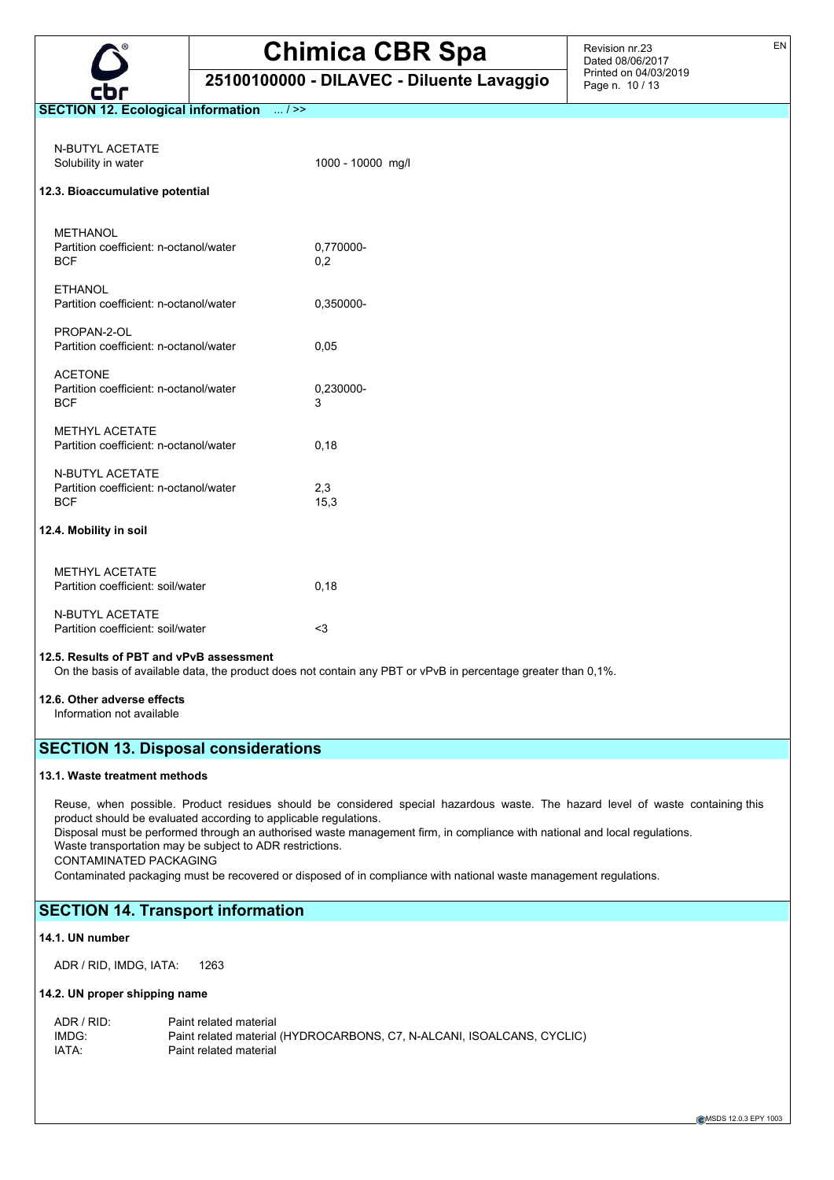

**25100100000 - DILAVEC - Diluente Lavaggio**

Revision nr.23 Dated 08/06/2017 Printed on 04/03/2019 Page n. 10 / 13

#### **SECTION 12. Ecological information** ... / >>

| N-BUTYL ACETATE<br>Solubility in water                                         | 1000 - 10000 mg/l |
|--------------------------------------------------------------------------------|-------------------|
| 12.3. Bioaccumulative potential                                                |                   |
| <b>METHANOL</b><br>Partition coefficient: n-octanol/water<br><b>BCF</b>        | 0,770000-<br>0.2  |
| <b>ETHANOL</b><br>Partition coefficient: n-octanol/water                       | 0,350000-         |
| PROPAN-2-OL<br>Partition coefficient: n-octanol/water                          | 0,05              |
| <b>ACETONE</b><br>Partition coefficient: n-octanol/water<br><b>BCF</b>         | 0,230000-<br>3    |
| <b>METHYL ACETATE</b><br>Partition coefficient: n-octanol/water                | 0,18              |
| <b>N-BUTYL ACETATE</b><br>Partition coefficient: n-octanol/water<br><b>BCF</b> | 2,3<br>15,3       |
| 12.4. Mobility in soil                                                         |                   |
| <b>METHYL ACETATE</b><br>Partition coefficient: soil/water                     | 0,18              |
| <b>N-BUTYL ACETATE</b><br>Partition coefficient: soil/water                    | $3$               |

#### **12.5. Results of PBT and vPvB assessment**

On the basis of available data, the product does not contain any PBT or vPvB in percentage greater than 0,1%.

#### **12.6. Other adverse effects**

Information not available

## **SECTION 13. Disposal considerations**

#### **13.1. Waste treatment methods**

Reuse, when possible. Product residues should be considered special hazardous waste. The hazard level of waste containing this product should be evaluated according to applicable regulations.

Disposal must be performed through an authorised waste management firm, in compliance with national and local regulations. Waste transportation may be subject to ADR restrictions.

CONTAMINATED PACKAGING

Contaminated packaging must be recovered or disposed of in compliance with national waste management regulations.

## **SECTION 14. Transport information**

#### **14.1. UN number**

ADR / RID, IMDG, IATA: 1263

#### **14.2. UN proper shipping name**

| ADR / RID: | Paint related material                                                 |
|------------|------------------------------------------------------------------------|
| IMDG:      | Paint related material (HYDROCARBONS, C7, N-ALCANI, ISOALCANS, CYCLIC) |
| IATA:      | Paint related material                                                 |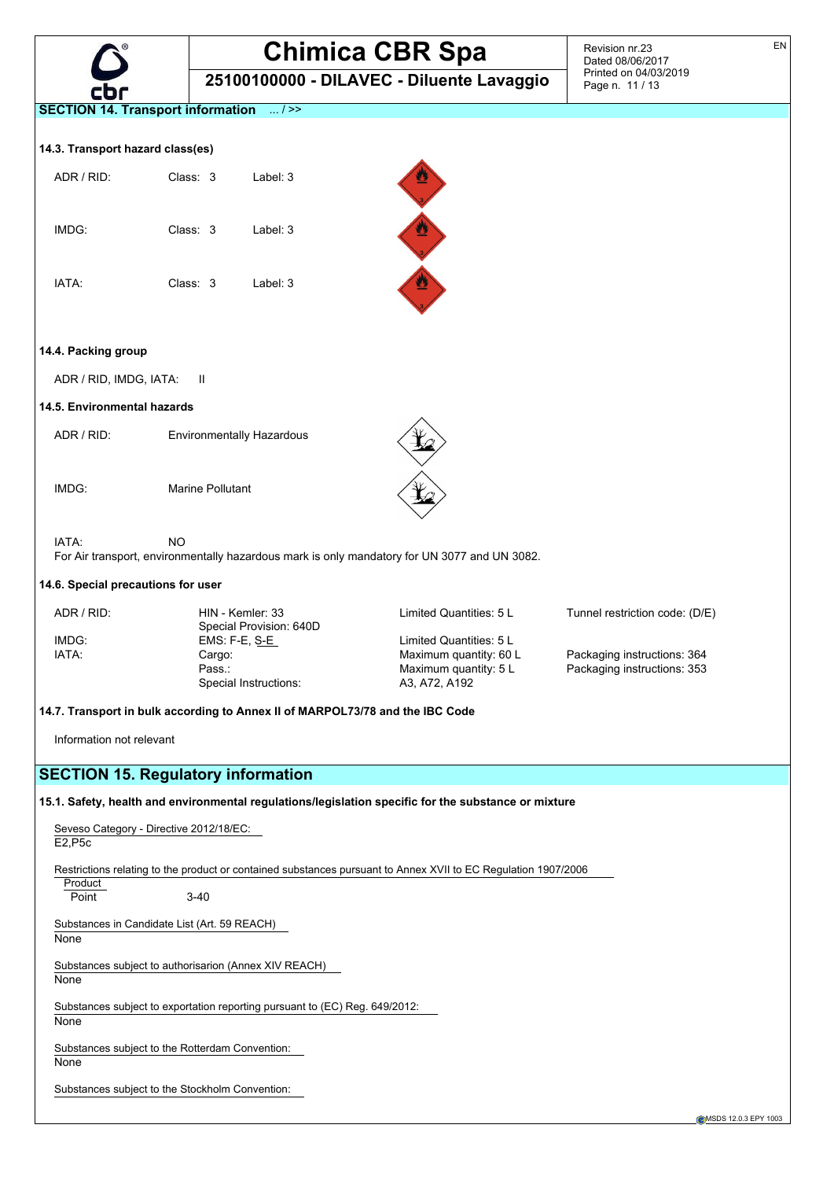

**25100100000 - DILAVEC - Diluente Lavaggio**

Revision nr.23 Dated 08/06/2017 Printed on 04/03/2019 Page n. 11 / 13

EN

**SECTION 14. Transport information** ... / >>

#### **14.3. Transport hazard class(es)**

| ADR / RID: | Class: 3 | Label: 3 |
|------------|----------|----------|
| IMDG:      | Class: 3 | Label: 3 |
| IATA:      | Class: 3 | Label: 3 |



#### **14.4. Packing group**

ADR / RID, IMDG, IATA: II

#### **14.5. Environmental hazards**

ADR / RID: Environmentally Hazardous

IMDG: Marine Pollutant

IATA: NO

For Air transport, environmentally hazardous mark is only mandatory for UN 3077 and UN 3082.

#### **14.6. Special precautions for user**

| ADR / RID: | HIN - Kemler: 33                         | Limited Quantities: 5 L | Tunnel restriction code: (D/E) |
|------------|------------------------------------------|-------------------------|--------------------------------|
| IMDG:      | Special Provision: 640D<br>EMS: F-E, S-E | Limited Quantities: 5 L |                                |
| IATA:      | Cargo:                                   | Maximum quantity: 60 L  | Packaging instructions: 364    |
|            | Pass.:                                   | Maximum quantity: 5 L   | Packaging instructions: 353    |
|            | Special Instructions:                    | A3, A72, A192           |                                |

#### **14.7. Transport in bulk according to Annex II of MARPOL73/78 and the IBC Code**

Information not relevant

## **SECTION 15. Regulatory information**

#### **15.1. Safety, health and environmental regulations/legislation specific for the substance or mixture**

Seveso Category - Directive 2012/18/EC: E2,P5c Restrictions relating to the product or contained substances pursuant to Annex XVII to EC Regulation 1907/2006 **Product** Point 3-40 Substances in Candidate List (Art. 59 REACH) None Substances subject to authorisarion (Annex XIV REACH) **None** Substances subject to exportation reporting pursuant to (EC) Reg. 649/2012: None Substances subject to the Rotterdam Convention: **None** 

Substances subject to the Stockholm Convention: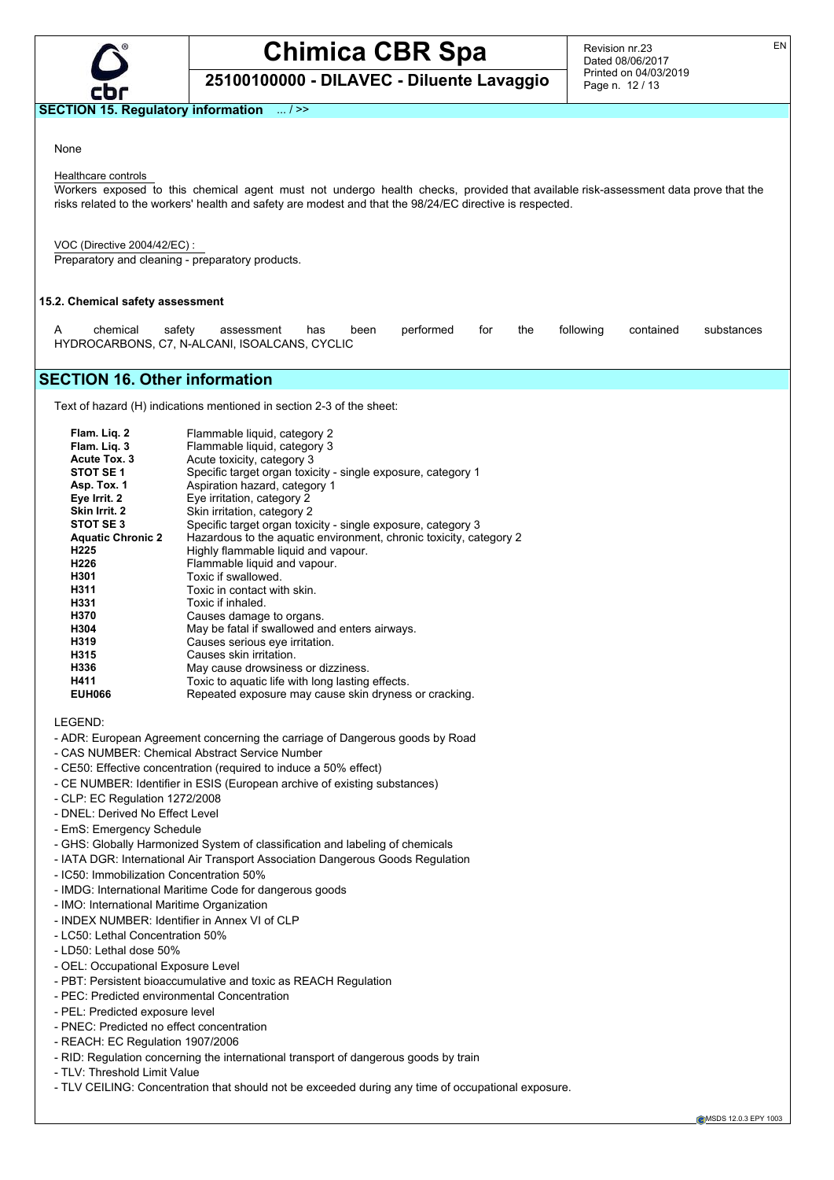

## **Chimica CBR Spa 25100100000 - DILAVEC - Diluente Lavaggio**

Revision nr.23 Dated 08/06/2017 Printed on 04/03/2019 Page n. 12 / 13

#### **SECTION 15. Regulatory information** ... / >>

#### None

#### Healthcare controls

Workers exposed to this chemical agent must not undergo health checks, provided that available risk-assessment data prove that the risks related to the workers' health and safety are modest and that the 98/24/EC directive is respected.

VOC (Directive 2004/42/EC) : Preparatory and cleaning - preparatory products.

#### **15.2. Chemical safety assessment**

| chemical | safetv | assessment has been                           |  | performed for the |  | following contained substances |  |
|----------|--------|-----------------------------------------------|--|-------------------|--|--------------------------------|--|
|          |        | HYDROCARBONS, C7, N-ALCANI, ISOALCANS, CYCLIC |  |                   |  |                                |  |

## **SECTION 16. Other information**

Text of hazard (H) indications mentioned in section 2-3 of the sheet:

| Flam. Lig. 2             | Flammable liquid, category 2                                       |
|--------------------------|--------------------------------------------------------------------|
| Flam. Lig. 3             | Flammable liquid, category 3                                       |
| Acute Tox. 3             | Acute toxicity, category 3                                         |
| STOT SE <sub>1</sub>     | Specific target organ toxicity - single exposure, category 1       |
| Asp. Tox. 1              | Aspiration hazard, category 1                                      |
| Eye Irrit. 2             | Eye irritation, category 2                                         |
| Skin Irrit. 2            | Skin irritation, category 2                                        |
| STOT SE3                 | Specific target organ toxicity - single exposure, category 3       |
| <b>Aquatic Chronic 2</b> | Hazardous to the aquatic environment, chronic toxicity, category 2 |
| H <sub>225</sub>         | Highly flammable liguid and vapour.                                |
| H <sub>226</sub>         | Flammable liquid and vapour.                                       |
| H301                     | Toxic if swallowed.                                                |
| H311                     | Toxic in contact with skin.                                        |
| H331                     | Toxic if inhaled.                                                  |
| H370                     | Causes damage to organs.                                           |
| H304                     | May be fatal if swallowed and enters airways.                      |
| H319                     | Causes serious eye irritation.                                     |
| H315                     | Causes skin irritation.                                            |
| H336                     | May cause drowsiness or dizziness.                                 |
| H411                     | Toxic to aquatic life with long lasting effects.                   |
| <b>EUH066</b>            | Repeated exposure may cause skin dryness or cracking.              |

LEGEND:

- ADR: European Agreement concerning the carriage of Dangerous goods by Road
- CAS NUMBER: Chemical Abstract Service Number
- CE50: Effective concentration (required to induce a 50% effect)
- CE NUMBER: Identifier in ESIS (European archive of existing substances)
- CLP: EC Regulation 1272/2008
- DNEL: Derived No Effect Level
- EmS: Emergency Schedule
- GHS: Globally Harmonized System of classification and labeling of chemicals
- IATA DGR: International Air Transport Association Dangerous Goods Regulation
- IC50: Immobilization Concentration 50%
- IMDG: International Maritime Code for dangerous goods
- IMO: International Maritime Organization
- INDEX NUMBER: Identifier in Annex VI of CLP
- LC50: Lethal Concentration 50%
- LD50: Lethal dose 50%
- OEL: Occupational Exposure Level
- PBT: Persistent bioaccumulative and toxic as REACH Regulation
- PEC: Predicted environmental Concentration
- PEL: Predicted exposure level
- PNEC: Predicted no effect concentration
- REACH: EC Regulation 1907/2006
- RID: Regulation concerning the international transport of dangerous goods by train
- TLV: Threshold Limit Value
- TLV CEILING: Concentration that should not be exceeded during any time of occupational exposure.

EN